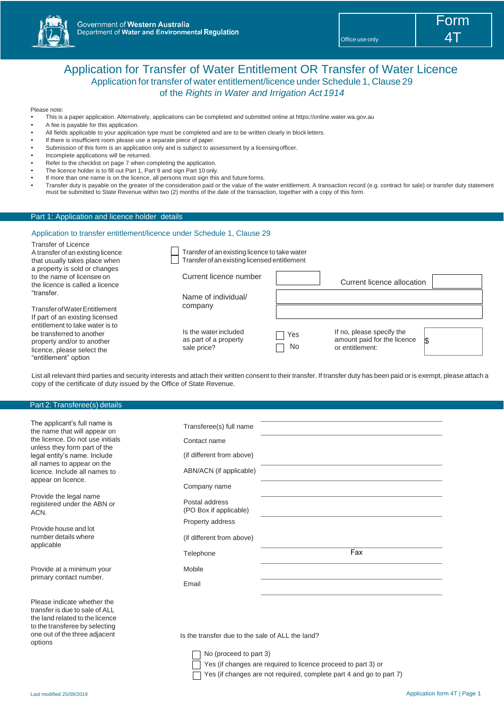

# Application for Transfer of Water Entitlement OR Transfer of Water Licence Application for transfer of water entitlement/licence under Schedule 1, Clause 29 of the *Rights in Water and Irrigation Act 1914*

#### Please note:

- This is a paper application. Alternatively, applications can be completed and submitted online at https://online.water.wa.gov.au
- A fee is payable for this application.
- All fields applicable to your application type must be completed and are to be written clearly in block letters.
- If there is insufficient room please use a separate piece of paper.
- Submission of this form is an application only and is subject to assessment by a licensing officer.
- Incomplete applications will be returned.
- Refer to the checklist on page 7 when completing the application.
- The licence holder is to fill out Part 1, Part 9 and sign Part 10 only.
- If more than one name is on the licence, all persons must sign this and future forms.
- Transfer duty is payable on the greater of the consideration paid or the value of the water entitlement. A transaction record (e.g. contract for sale) or transfer duty statement must be submitted to State Revenue within two (2) months of the date of the transaction, together with a copy of this form.

## Part 1: Application and licence holder details

## Application to transfer entitlement/licence under Schedule 1, Clause 29

| <b>Transfer of Licence</b><br>A transfer of an existing licence                                                          | Transfer of an existing licence to take water                 |                  |                                                                                         |
|--------------------------------------------------------------------------------------------------------------------------|---------------------------------------------------------------|------------------|-----------------------------------------------------------------------------------------|
| that usually takes place when                                                                                            | Transfer of an existing licensed entitlement                  |                  |                                                                                         |
| a property is sold or changes<br>to the name of licensee on<br>the licence is called a licence                           | Current licence number                                        |                  | Current licence allocation                                                              |
| "transfer.                                                                                                               | Name of individual/                                           |                  |                                                                                         |
| Transfer of Water Entitlement<br>If part of an existing licensed                                                         | company                                                       |                  |                                                                                         |
| entitlement to take water is to<br>be transferred to another<br>property and/or to another<br>licence, please select the | Is the water included<br>as part of a property<br>sale price? | Yes<br><b>No</b> | If no, please specify the<br>amount paid for the licence<br><b>S</b><br>or entitlement: |

List all relevant third parties and security interests and attach their written consent to their transfer. If transfer duty has been paid or is exempt, please attach a copy of the certificate of duty issued by the Office of State Revenue.

#### Part 2: Transferee(s) details

"entitlement" option

| The applicant's full name is<br>the name that will appear on                                     | Transferee(s) full name                  |     |
|--------------------------------------------------------------------------------------------------|------------------------------------------|-----|
| the licence. Do not use initials<br>unless they form part of the                                 | Contact name                             |     |
| legal entity's name. Include<br>all names to appear on the                                       | (if different from above)                |     |
| licence. Include all names to                                                                    | ABN/ACN (if applicable)                  |     |
| appear on licence.                                                                               | Company name                             |     |
| Provide the legal name<br>registered under the ABN or<br>ACN.                                    | Postal address<br>(PO Box if applicable) |     |
|                                                                                                  | Property address                         |     |
| Provide house and lot<br>number details where                                                    | (if different from above)                |     |
| applicable                                                                                       | Telephone                                | Fax |
| Provide at a minimum your                                                                        | Mobile                                   |     |
| primary contact number.                                                                          | Email                                    |     |
| Please indicate whether the<br>transfer is due to sale of ALL<br>the land related to the licence |                                          |     |

Is the transfer due to the sale of ALL the land?

 $\Box$  No (proceed to part 3)

Yes (if changes are required to licence proceed to part 3) or

Yes (if changes are not required, complete part 4 and go to part 7)

options

to the transferee by selecting one out of the three adjacent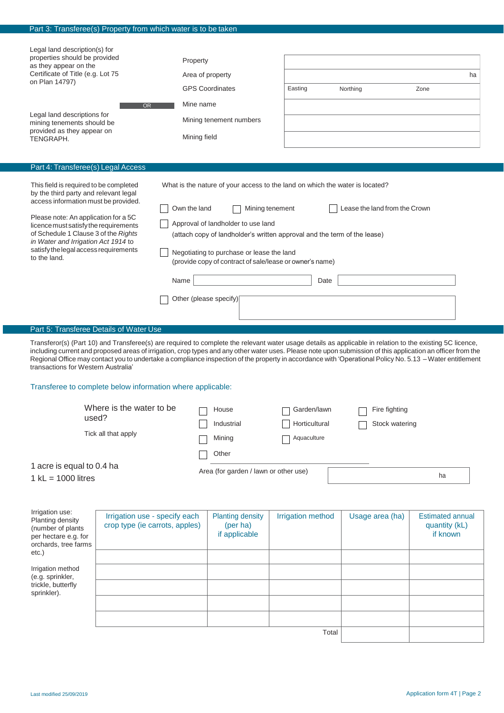|                                                                                                                                                                                                                                                                                                                                                                                                                                                                                                                                                                                                                                                                                                                                                                                                                 | Part 3: Transferee(s) Property from which water is to be taken  |                                       |                                                                       |                                             |                                                                                                                                                                                                                                                                                                                                                                                                                                                                                       |                                                      |
|-----------------------------------------------------------------------------------------------------------------------------------------------------------------------------------------------------------------------------------------------------------------------------------------------------------------------------------------------------------------------------------------------------------------------------------------------------------------------------------------------------------------------------------------------------------------------------------------------------------------------------------------------------------------------------------------------------------------------------------------------------------------------------------------------------------------|-----------------------------------------------------------------|---------------------------------------|-----------------------------------------------------------------------|---------------------------------------------|---------------------------------------------------------------------------------------------------------------------------------------------------------------------------------------------------------------------------------------------------------------------------------------------------------------------------------------------------------------------------------------------------------------------------------------------------------------------------------------|------------------------------------------------------|
| Legal land description(s) for<br>properties should be provided<br>as they appear on the<br>Certificate of Title (e.g. Lot 75<br>on Plan 14797)<br>Legal land descriptions for<br>mining tenements should be<br>provided as they appear on                                                                                                                                                                                                                                                                                                                                                                                                                                                                                                                                                                       | <b>OR</b>                                                       | Property<br>Mine name<br>Mining field | Area of property<br><b>GPS Coordinates</b><br>Mining tenement numbers | Easting                                     | Northing                                                                                                                                                                                                                                                                                                                                                                                                                                                                              | ha<br>Zone                                           |
| TENGRAPH.                                                                                                                                                                                                                                                                                                                                                                                                                                                                                                                                                                                                                                                                                                                                                                                                       |                                                                 |                                       |                                                                       |                                             |                                                                                                                                                                                                                                                                                                                                                                                                                                                                                       |                                                      |
| Part 4: Transferee(s) Legal Access<br>This field is required to be completed<br>What is the nature of your access to the land on which the water is located?<br>by the third party and relevant legal<br>access information must be provided.<br>Own the land<br>Lease the land from the Crown<br>Mining tenement<br>Please note: An application for a 5C<br>Approval of landholder to use land<br>licence must satisfy the requirements<br>of Schedule 1 Clause 3 of the Rights<br>(attach copy of landholder's written approval and the term of the lease)<br>in Water and Irrigation Act 1914 to<br>satisfy the legal access requirements<br>Negotiating to purchase or lease the land<br>to the land.<br>(provide copy of contract of sale/lease or owner's name)<br>Name<br>Date<br>Other (please specify) |                                                                 |                                       |                                                                       |                                             |                                                                                                                                                                                                                                                                                                                                                                                                                                                                                       |                                                      |
|                                                                                                                                                                                                                                                                                                                                                                                                                                                                                                                                                                                                                                                                                                                                                                                                                 | Part 5: Transferee Details of Water Use                         |                                       |                                                                       |                                             |                                                                                                                                                                                                                                                                                                                                                                                                                                                                                       |                                                      |
| transactions for Western Australia                                                                                                                                                                                                                                                                                                                                                                                                                                                                                                                                                                                                                                                                                                                                                                              | Transferee to complete below information where applicable:      |                                       |                                                                       |                                             | Transferor(s) (Part 10) and Transferee(s) are required to complete the relevant water usage details as applicable in relation to the existing 5C licence,<br>including current and proposed areas of irrigation, crop types and any other water uses. Please note upon submission of this application an officer from the<br>Regional Office may contact you to undertake a compliance inspection of the property in accordance with 'Operational Policy No. 5.13 - Water entitlement |                                                      |
| used?                                                                                                                                                                                                                                                                                                                                                                                                                                                                                                                                                                                                                                                                                                                                                                                                           | Where is the water to be<br>Tick all that apply                 |                                       | House<br>Industrial<br>Mining                                         | Garden/lawn<br>Horticultural<br>Aquaculture | Fire fighting<br>Stock watering                                                                                                                                                                                                                                                                                                                                                                                                                                                       |                                                      |
| 1 acre is equal to 0.4 ha<br>$1$ kL = 1000 litres                                                                                                                                                                                                                                                                                                                                                                                                                                                                                                                                                                                                                                                                                                                                                               |                                                                 |                                       | Other<br>Area (for garden / lawn or other use)                        |                                             |                                                                                                                                                                                                                                                                                                                                                                                                                                                                                       | ha                                                   |
| Irrigation use:<br>Planting density<br>(number of plants<br>per hectare e.g. for<br>orchards, tree farms<br>etc.)                                                                                                                                                                                                                                                                                                                                                                                                                                                                                                                                                                                                                                                                                               | Irrigation use - specify each<br>crop type (ie carrots, apples) |                                       | <b>Planting density</b><br>(per ha)<br>if applicable                  | Irrigation method                           | Usage area (ha)                                                                                                                                                                                                                                                                                                                                                                                                                                                                       | <b>Estimated annual</b><br>quantity (kL)<br>if known |
| Irrigation method<br>(e.g. sprinkler,<br>trickle, butterfly<br>sprinkler).                                                                                                                                                                                                                                                                                                                                                                                                                                                                                                                                                                                                                                                                                                                                      |                                                                 |                                       |                                                                       |                                             |                                                                                                                                                                                                                                                                                                                                                                                                                                                                                       |                                                      |

Total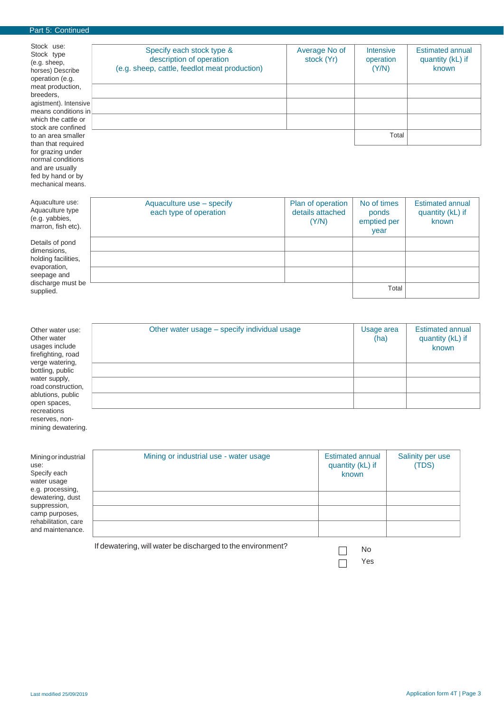## Part 5: Continued

normal conditions and are usually fed by hand or by mechanical means.

| Stock use:<br>Stock type<br>(e.g. sheep,<br>horses) Describe | Specify each stock type &<br>description of operation<br>(e.g. sheep, cattle, feedlot meat production) | Average No of<br>stock (Yr) | <b>Intensive</b><br>operation<br>(Y/N) | <b>Estimated annual</b><br>quantity (kL) if<br>known |
|--------------------------------------------------------------|--------------------------------------------------------------------------------------------------------|-----------------------------|----------------------------------------|------------------------------------------------------|
| operation (e.g.                                              |                                                                                                        |                             |                                        |                                                      |
| meat production,                                             |                                                                                                        |                             |                                        |                                                      |
| breeders.                                                    |                                                                                                        |                             |                                        |                                                      |
| agistment). Intensive                                        |                                                                                                        |                             |                                        |                                                      |
| means conditions in                                          |                                                                                                        |                             |                                        |                                                      |
| which the cattle or                                          |                                                                                                        |                             |                                        |                                                      |
| stock are confined                                           |                                                                                                        |                             |                                        |                                                      |
| to an area smaller                                           |                                                                                                        |                             | Total                                  |                                                      |
| than that required                                           |                                                                                                        |                             |                                        |                                                      |
| for grazing under                                            |                                                                                                        |                             |                                        |                                                      |

| Aquaculture use:<br>Aquaculture type<br>(e.g. yabbies,<br>marron, fish etc). | Aquaculture use - specify<br>each type of operation | Plan of operation<br>details attached<br>(Y/N) | No of times<br>ponds<br>emptied per<br>year | <b>Estimated annual</b><br>quantity (kL) if<br>known |
|------------------------------------------------------------------------------|-----------------------------------------------------|------------------------------------------------|---------------------------------------------|------------------------------------------------------|
| Details of pond<br>dimensions,                                               |                                                     |                                                |                                             |                                                      |
| holding facilities,<br>evaporation,                                          |                                                     |                                                |                                             |                                                      |
| seepage and                                                                  |                                                     |                                                |                                             |                                                      |
| discharge must be<br>supplied.                                               |                                                     |                                                | Total                                       |                                                      |

| Other water use:<br>Other water<br>usages include<br>firefighting, road<br>verge watering, | Other water usage – specify individual usage | Usage area<br>(ha) | <b>Estimated annual</b><br>quantity (kL) if<br>known |
|--------------------------------------------------------------------------------------------|----------------------------------------------|--------------------|------------------------------------------------------|
| bottling, public                                                                           |                                              |                    |                                                      |
| water supply,<br>road construction,<br>ablutions, public                                   |                                              |                    |                                                      |
| open spaces,                                                                               |                                              |                    |                                                      |
| recreations<br>reserves, non-<br>mining dewatering.                                        |                                              |                    |                                                      |

| Mining or industrial<br>use:<br>Specify each<br>water usage<br>e.g. processing,<br>dewatering, dust | Mining or industrial use - water usage                      | <b>Estimated annual</b><br>quantity (kL) if<br>known | Salinity per use<br>(TDS) |
|-----------------------------------------------------------------------------------------------------|-------------------------------------------------------------|------------------------------------------------------|---------------------------|
|                                                                                                     |                                                             |                                                      |                           |
| suppression,<br>camp purposes,                                                                      |                                                             |                                                      |                           |
| rehabilitation, care<br>and maintenance.                                                            |                                                             |                                                      |                           |
|                                                                                                     | If dewatering, will water be discharged to the environment? | No                                                   |                           |

| μς |
|----|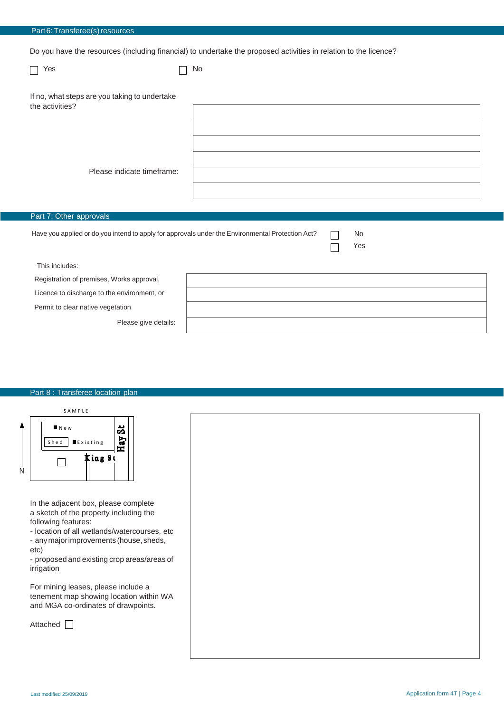|  |  |  | Part 6: Transferee(s) resources |
|--|--|--|---------------------------------|
|--|--|--|---------------------------------|

Do you have the resources (including financial) to undertake the proposed activities in relation to the licence?

| Yes                                                                                              | No.       |
|--------------------------------------------------------------------------------------------------|-----------|
| If no, what steps are you taking to undertake<br>the activities?                                 |           |
|                                                                                                  |           |
| Please indicate timeframe:                                                                       |           |
| Part 7: Other approvals                                                                          |           |
| Have you applied or do you intend to apply for approvals under the Environmental Protection Act? | No<br>Yes |

This includes:

Registration of premises, Works approval,

Licence to discharge to the environment, or

Permit to clear native vegetation

Please give details:

## Part 8 : Transferee location plan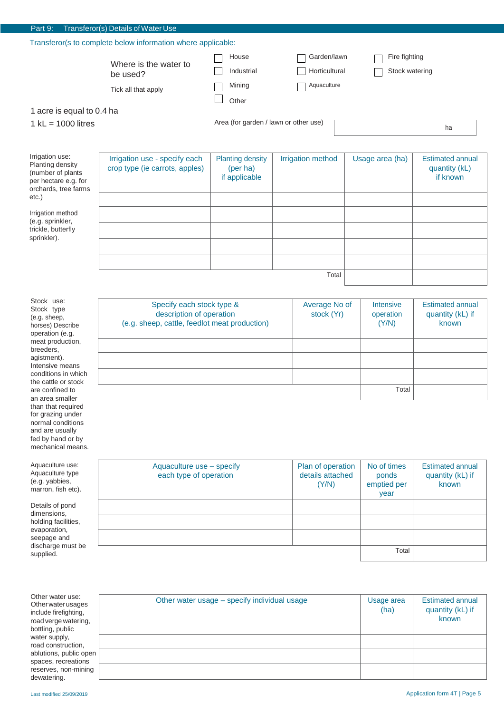| Part 9:                                                                                                              | Transferor(s) Details of Water Use                              |                                                      |                                             |                                 |                                                      |  |
|----------------------------------------------------------------------------------------------------------------------|-----------------------------------------------------------------|------------------------------------------------------|---------------------------------------------|---------------------------------|------------------------------------------------------|--|
| Transferor(s to complete below information where applicable:                                                         |                                                                 |                                                      |                                             |                                 |                                                      |  |
| 1 acre is equal to 0.4 ha                                                                                            | Where is the water to<br>be used?<br>Tick all that apply        | House<br>Industrial<br>Mining<br>Other               | Garden/lawn<br>Horticultural<br>Aquaculture | Fire fighting<br>Stock watering |                                                      |  |
| 1 $kL = 1000$ litres                                                                                                 |                                                                 | Area (for garden / lawn or other use)                |                                             |                                 | ha                                                   |  |
| Irrigation use:<br>Planting density<br>(number of plants<br>per hectare e.g. for<br>orchards, tree farms<br>$etc.$ ) | Irrigation use - specify each<br>crop type (ie carrots, apples) | <b>Planting density</b><br>(per ha)<br>if applicable | <b>Irrigation method</b>                    | Usage area (ha)                 | <b>Estimated annual</b><br>quantity (kL)<br>if known |  |
| Irrigation method<br>(e.g. sprinkler,<br>trickle, butterfly<br>sprinkler).                                           |                                                                 |                                                      |                                             |                                 |                                                      |  |
|                                                                                                                      |                                                                 |                                                      | Total                                       |                                 |                                                      |  |

Stock use: Stock type (e.g. sheep, horses) Describe operation (e.g. meat production, breeders, agistment). Intensive means conditions in which the cattle or stock are confined to an area smaller than that required for grazing under normal conditions and are usually fed by hand or by mechanical means.

Specify each stock type & description of operation (e.g. sheep, cattle, feedlot meat production) Average No of stock (Yr) Intensive operation (Y/N) Estimated annual quantity (kL) if known Total

| Aquaculture use:<br>Aquaculture type<br>(e.g. yabbies,<br>marron, fish etc).                              | Aquaculture use - specify<br>each type of operation | Plan of operation<br>details attached<br>(Y/N) | No of times<br>ponds<br>emptied per<br>year | <b>Estimated annual</b><br>quantity (kL) if<br>known |
|-----------------------------------------------------------------------------------------------------------|-----------------------------------------------------|------------------------------------------------|---------------------------------------------|------------------------------------------------------|
| Details of pond<br>dimensions,<br>holding facilities,<br>evaporation,<br>seepage and<br>discharge must be |                                                     |                                                |                                             |                                                      |
| supplied.                                                                                                 |                                                     |                                                | Total                                       |                                                      |

| Other water use:       |
|------------------------|
| Other water usages     |
| include firefighting,  |
| road verge watering,   |
| bottling, public       |
| water supply,          |
| road construction,     |
| ablutions, public open |
| spaces, recreations    |
| reserves, non-mining   |
| dewatering.            |

| Other water usage - specify individual usage | Usage area<br>(ha) | <b>Estimated annual</b><br>quantity (kL) if<br>known |
|----------------------------------------------|--------------------|------------------------------------------------------|
|                                              |                    |                                                      |
|                                              |                    |                                                      |
|                                              |                    |                                                      |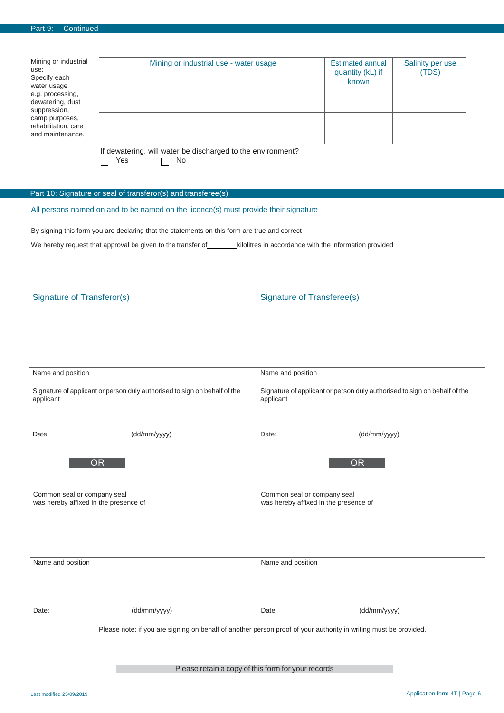| Part 9: | Continued |
|---------|-----------|
|---------|-----------|

| Mining or industrial<br>use:<br>Specify each<br>water usage<br>e.g. processing,<br>dewatering, dust<br>suppression,<br>camp purposes,<br>rehabilitation, care<br>and maintenance. | Mining or industrial use - water usage                      | Estimated annual<br>quantity (kL) if<br>known | Salinity per use<br>(TDS) |
|-----------------------------------------------------------------------------------------------------------------------------------------------------------------------------------|-------------------------------------------------------------|-----------------------------------------------|---------------------------|
|                                                                                                                                                                                   |                                                             |                                               |                           |
|                                                                                                                                                                                   | If dewatering, will water be discharged to the environment? |                                               |                           |

 $\Box$  Yes  $\Box$  No

## Part 10: Signature or seal of transferor(s) and transferee(s)

All persons named on and to be named on the licence(s) must provide their signature

By signing this form you are declaring that the statements on this form are true and correct

We hereby request that approval be given to the transfer of \_\_\_\_\_\_\_\_\_kilolitres in accordance with the information provided

## Signature of Transferor(s) Signature of Transferee(s)

| Name and position                                                                      |                                                                                                                  | Name and position                                  |                                                                           |  |  |
|----------------------------------------------------------------------------------------|------------------------------------------------------------------------------------------------------------------|----------------------------------------------------|---------------------------------------------------------------------------|--|--|
| Signature of applicant or person duly authorised to sign on behalf of the<br>applicant |                                                                                                                  | applicant                                          | Signature of applicant or person duly authorised to sign on behalf of the |  |  |
| Date:                                                                                  | (dd/mm/yyyy)                                                                                                     | Date:                                              | (dd/mm/yyyy)                                                              |  |  |
| <b>OR</b>                                                                              |                                                                                                                  |                                                    | <b>OR</b>                                                                 |  |  |
| Common seal or company seal<br>was hereby affixed in the presence of                   |                                                                                                                  |                                                    | Common seal or company seal<br>was hereby affixed in the presence of      |  |  |
|                                                                                        |                                                                                                                  |                                                    |                                                                           |  |  |
| Name and position                                                                      |                                                                                                                  | Name and position                                  |                                                                           |  |  |
|                                                                                        |                                                                                                                  |                                                    |                                                                           |  |  |
| Date:                                                                                  | (dd/mm/yyyy)                                                                                                     | Date:                                              | (dd/mm/yyyy)                                                              |  |  |
|                                                                                        | Please note: if you are signing on behalf of another person proof of your authority in writing must be provided. |                                                    |                                                                           |  |  |
|                                                                                        |                                                                                                                  | Please retain a copy of this form for your records |                                                                           |  |  |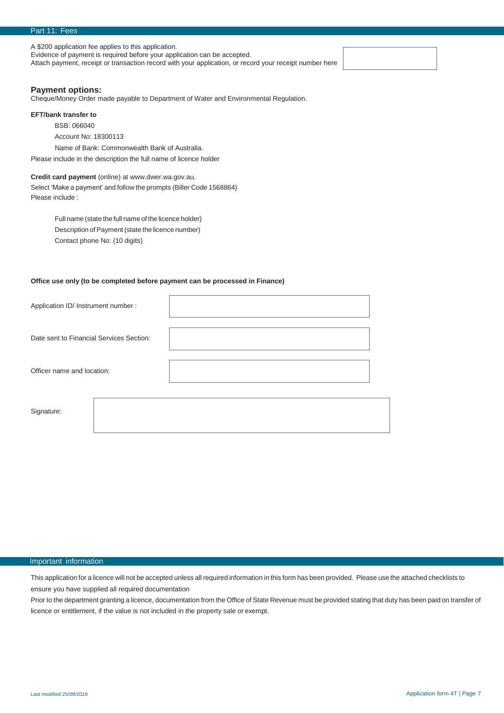A \$200 application fee applies to this application.

Evidence of payment is required before your application can be accepted.

Attach payment, receipt or transaction record with your application, or record your receipt number here

## **Payment options:**

Cheque/Money Order made payable to Department of Water and Environmental Regulation.

### **EFT/bank transfer to**

BSB: 066040

Account No: 18300113

Name of Bank: Commonwealth Bank of Australia.

Please include in the description the full name of licence holder

## **Credit card payment** (online) a[t www.dwer.wa.gov.au.](http://www.dwer.wa.gov.au/)

Select 'Make a payment' and follow the prompts (Biller Code 1568864) Please include :

> Full name (state the full name of the licence holder) Description of Payment (state the licence number) Contact phone No: (10 digits)

## **Office use only (to be completed before payment can be processed in Finance)**

| Application ID/ Instrument number :      |  |  |
|------------------------------------------|--|--|
| Date sent to Financial Services Section: |  |  |
| Officer name and location:               |  |  |
| Signature:                               |  |  |

## Important information

This application for a licence will not be accepted unless all required information in this form has been provided. Please use the attached checklists to ensure you have supplied all required documentation

Prior to the department granting a licence, documentation from the Office of State Revenue must be provided stating that duty has been paid on transfer of licence or entitlement, if the value is not included in the property sale or exempt.